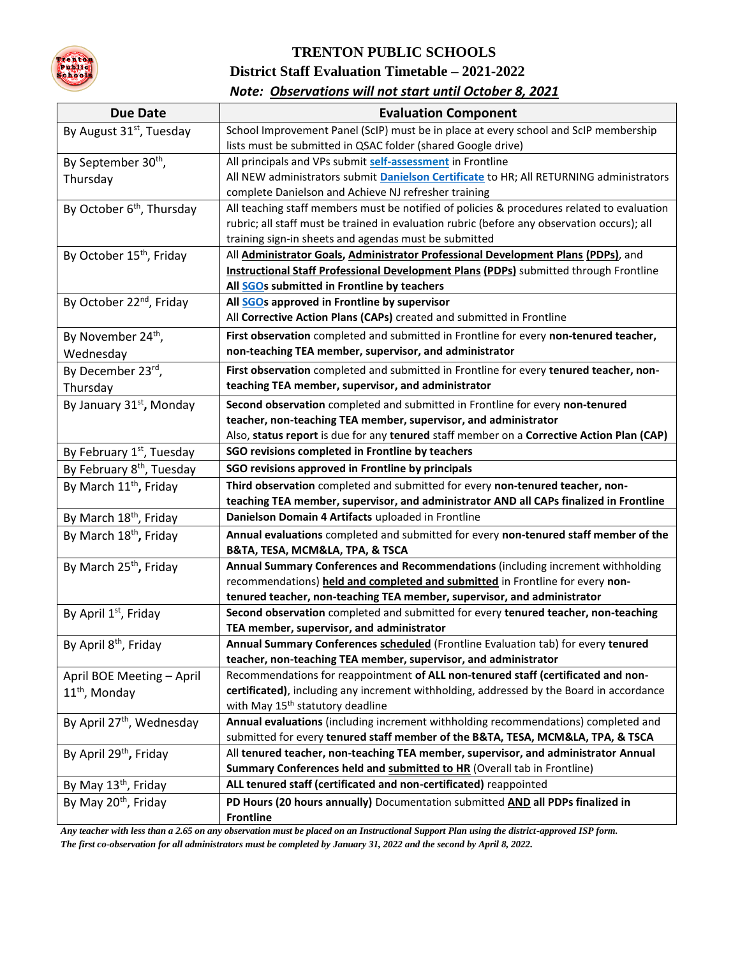

# **TRENTON PUBLIC SCHOOLS District Staff Evaluation Timetable – 2021-2022**

|  |  | Note: Observations will not start until October 8, 2021 |  |
|--|--|---------------------------------------------------------|--|
|--|--|---------------------------------------------------------|--|

| <b>Due Date</b>                       | <b>Evaluation Component</b>                                                                                                                          |
|---------------------------------------|------------------------------------------------------------------------------------------------------------------------------------------------------|
| By August 31 <sup>st</sup> , Tuesday  | School Improvement Panel (ScIP) must be in place at every school and ScIP membership                                                                 |
|                                       | lists must be submitted in QSAC folder (shared Google drive)                                                                                         |
| By September 30 <sup>th</sup> ,       | All principals and VPs submit self-assessment in Frontline                                                                                           |
| Thursday                              | All NEW administrators submit <b>Danielson Certificate</b> to HR; All RETURNING administrators                                                       |
|                                       | complete Danielson and Achieve NJ refresher training                                                                                                 |
| By October 6 <sup>th</sup> , Thursday | All teaching staff members must be notified of policies & procedures related to evaluation                                                           |
|                                       | rubric; all staff must be trained in evaluation rubric (before any observation occurs); all                                                          |
|                                       | training sign-in sheets and agendas must be submitted                                                                                                |
| By October 15 <sup>th</sup> , Friday  | All Administrator Goals, Administrator Professional Development Plans (PDPs), and                                                                    |
|                                       | <b>Instructional Staff Professional Development Plans (PDPs)</b> submitted through Frontline                                                         |
|                                       | All SGOs submitted in Frontline by teachers                                                                                                          |
| By October 22 <sup>nd</sup> , Friday  | All SGOs approved in Frontline by supervisor                                                                                                         |
|                                       | All Corrective Action Plans (CAPs) created and submitted in Frontline                                                                                |
| By November 24 <sup>th</sup> ,        | First observation completed and submitted in Frontline for every non-tenured teacher,                                                                |
| Wednesday                             | non-teaching TEA member, supervisor, and administrator                                                                                               |
| By December 23rd,                     | First observation completed and submitted in Frontline for every tenured teacher, non-                                                               |
| Thursday                              | teaching TEA member, supervisor, and administrator                                                                                                   |
| By January 31 <sup>st</sup> , Monday  | Second observation completed and submitted in Frontline for every non-tenured                                                                        |
|                                       | teacher, non-teaching TEA member, supervisor, and administrator                                                                                      |
|                                       | Also, status report is due for any tenured staff member on a Corrective Action Plan (CAP)                                                            |
| By February 1st, Tuesday              | SGO revisions completed in Frontline by teachers                                                                                                     |
| By February 8 <sup>th</sup> , Tuesday | SGO revisions approved in Frontline by principals                                                                                                    |
| By March 11 <sup>th</sup> , Friday    | Third observation completed and submitted for every non-tenured teacher, non-                                                                        |
|                                       | teaching TEA member, supervisor, and administrator AND all CAPs finalized in Frontline                                                               |
| By March 18 <sup>th</sup> , Friday    | Danielson Domain 4 Artifacts uploaded in Frontline                                                                                                   |
| By March 18 <sup>th</sup> , Friday    | Annual evaluations completed and submitted for every non-tenured staff member of the                                                                 |
|                                       | B&TA, TESA, MCM&LA, TPA, & TSCA                                                                                                                      |
| By March 25 <sup>th</sup> , Friday    | Annual Summary Conferences and Recommendations (including increment withholding                                                                      |
|                                       | recommendations) held and completed and submitted in Frontline for every non-                                                                        |
|                                       | tenured teacher, non-teaching TEA member, supervisor, and administrator                                                                              |
| By April 1st, Friday                  | Second observation completed and submitted for every tenured teacher, non-teaching                                                                   |
|                                       | TEA member, supervisor, and administrator                                                                                                            |
| By April 8 <sup>th</sup> , Friday     | Annual Summary Conferences scheduled (Frontline Evaluation tab) for every tenured<br>teacher, non-teaching TEA member, supervisor, and administrator |
| April BOE Meeting - April             | Recommendations for reappointment of ALL non-tenured staff (certificated and non-                                                                    |
|                                       | certificated), including any increment withholding, addressed by the Board in accordance                                                             |
| $11th$ , Monday                       | with May 15 <sup>th</sup> statutory deadline                                                                                                         |
| By April 27 <sup>th</sup> , Wednesday | Annual evaluations (including increment withholding recommendations) completed and                                                                   |
|                                       | submitted for every tenured staff member of the B&TA, TESA, MCM&LA, TPA, & TSCA                                                                      |
| By April 29 <sup>th</sup> , Friday    | All tenured teacher, non-teaching TEA member, supervisor, and administrator Annual                                                                   |
|                                       | Summary Conferences held and submitted to HR (Overall tab in Frontline)                                                                              |
| By May 13 <sup>th</sup> , Friday      | ALL tenured staff (certificated and non-certificated) reappointed                                                                                    |
| By May 20 <sup>th</sup> , Friday      | PD Hours (20 hours annually) Documentation submitted AND all PDPs finalized in                                                                       |
|                                       | <b>Frontline</b>                                                                                                                                     |

*Any teacher with less than a 2.65 on any observation must be placed on an Instructional Support Plan using the district-approved ISP form. The first co-observation for all administrators must be completed by January 31, 2022 and the second by April 8, 2022.*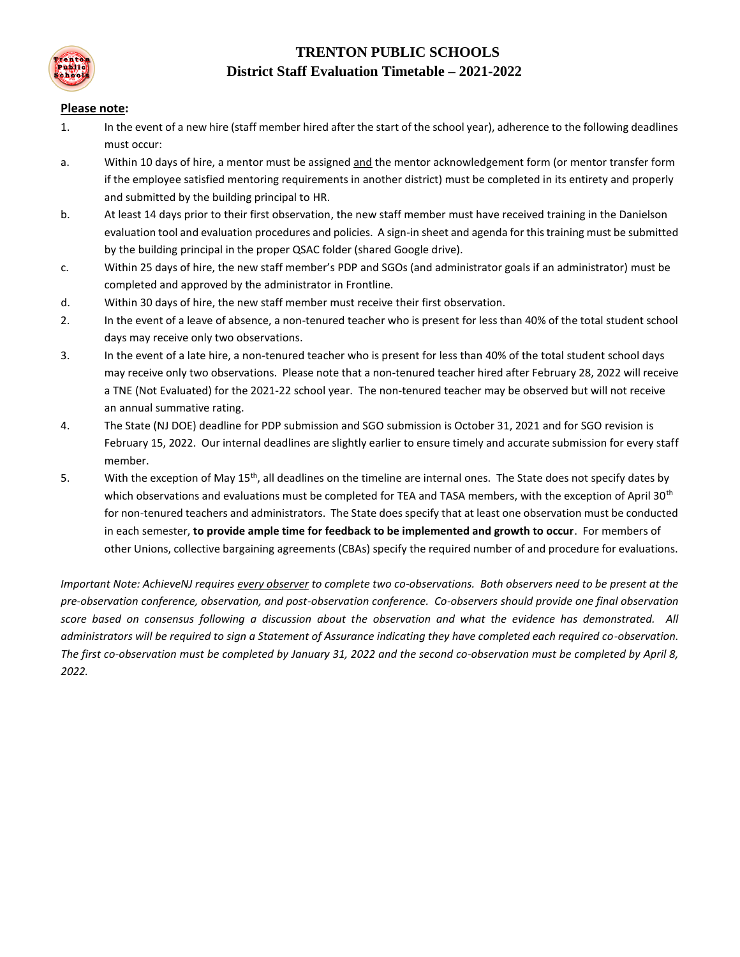

# **TRENTON PUBLIC SCHOOLS District Staff Evaluation Timetable – 2021-2022**

#### **Please note:**

- 1. In the event of a new hire (staff member hired after the start of the school year), adherence to the following deadlines must occur:
- a. Within 10 days of hire, a mentor must be assigned and the mentor acknowledgement form (or mentor transfer form if the employee satisfied mentoring requirements in another district) must be completed in its entirety and properly and submitted by the building principal to HR.
- b. At least 14 days prior to their first observation, the new staff member must have received training in the Danielson evaluation tool and evaluation procedures and policies. A sign-in sheet and agenda for this training must be submitted by the building principal in the proper QSAC folder (shared Google drive).
- c. Within 25 days of hire, the new staff member's PDP and SGOs (and administrator goals if an administrator) must be completed and approved by the administrator in Frontline.
- d. Within 30 days of hire, the new staff member must receive their first observation.
- 2. In the event of a leave of absence, a non-tenured teacher who is present for less than 40% of the total student school days may receive only two observations.
- 3. In the event of a late hire, a non-tenured teacher who is present for less than 40% of the total student school days may receive only two observations. Please note that a non-tenured teacher hired after February 28, 2022 will receive a TNE (Not Evaluated) for the 2021-22 school year. The non-tenured teacher may be observed but will not receive an annual summative rating.
- 4. The State (NJ DOE) deadline for PDP submission and SGO submission is October 31, 2021 and for SGO revision is February 15, 2022. Our internal deadlines are slightly earlier to ensure timely and accurate submission for every staff member.
- 5. With the exception of May 15<sup>th</sup>, all deadlines on the timeline are internal ones. The State does not specify dates by which observations and evaluations must be completed for TEA and TASA members, with the exception of April 30<sup>th</sup> for non-tenured teachers and administrators. The State does specify that at least one observation must be conducted in each semester, **to provide ample time for feedback to be implemented and growth to occur**. For members of other Unions, collective bargaining agreements (CBAs) specify the required number of and procedure for evaluations.

*Important Note: AchieveNJ requires every observer to complete two co-observations. Both observers need to be present at the pre-observation conference, observation, and post-observation conference. Co-observers should provide one final observation score based on consensus following a discussion about the observation and what the evidence has demonstrated. All administrators will be required to sign a Statement of Assurance indicating they have completed each required co-observation. The first co-observation must be completed by January 31, 2022 and the second co-observation must be completed by April 8, 2022.*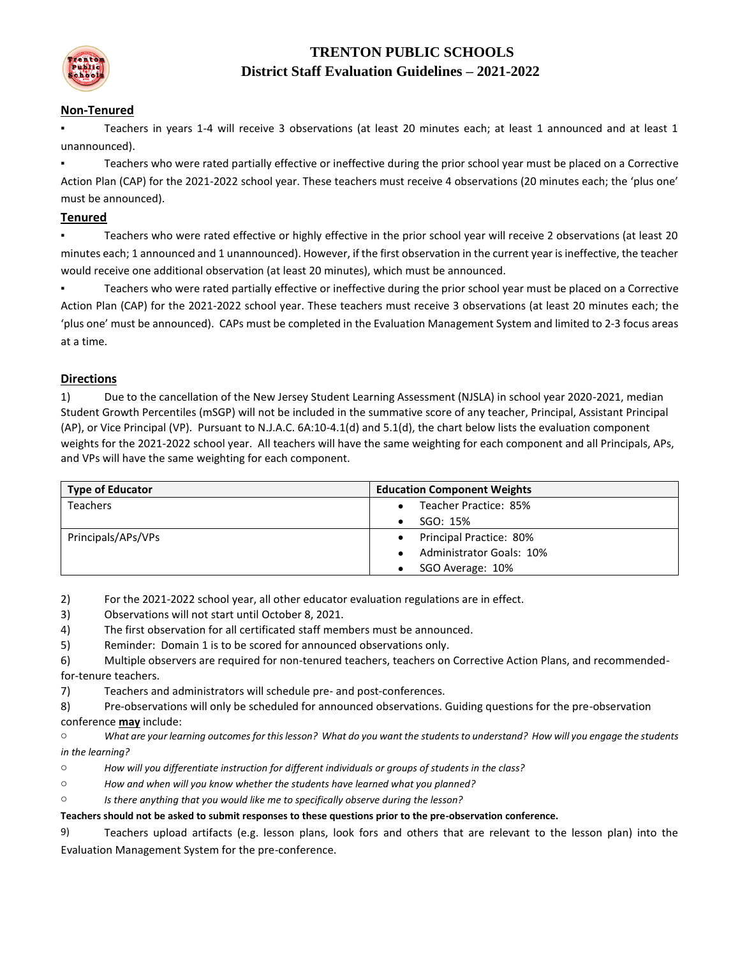

# **TRENTON PUBLIC SCHOOLS District Staff Evaluation Guidelines – 2021-2022**

### **Non-Tenured**

Teachers in years 1-4 will receive 3 observations (at least 20 minutes each; at least 1 announced and at least 1 unannounced).

▪ Teachers who were rated partially effective or ineffective during the prior school year must be placed on a Corrective Action Plan (CAP) for the 2021-2022 school year. These teachers must receive 4 observations (20 minutes each; the 'plus one' must be announced).

### **Tenured**

▪ Teachers who were rated effective or highly effective in the prior school year will receive 2 observations (at least 20 minutes each; 1 announced and 1 unannounced). However, if the first observation in the current year is ineffective, the teacher would receive one additional observation (at least 20 minutes), which must be announced.

▪ Teachers who were rated partially effective or ineffective during the prior school year must be placed on a Corrective Action Plan (CAP) for the 2021-2022 school year. These teachers must receive 3 observations (at least 20 minutes each; the 'plus one' must be announced). CAPs must be completed in the Evaluation Management System and limited to 2-3 focus areas at a time.

#### **Directions**

1) Due to the cancellation of the New Jersey Student Learning Assessment (NJSLA) in school year 2020-2021, median Student Growth Percentiles (mSGP) will not be included in the summative score of any teacher, Principal, Assistant Principal (AP), or Vice Principal (VP). Pursuant to N.J.A.C. 6A:10-4.1(d) and 5.1(d), the chart below lists the evaluation component weights for the 2021-2022 school year. All teachers will have the same weighting for each component and all Principals, APs, and VPs will have the same weighting for each component.

| <b>Type of Educator</b> | <b>Education Component Weights</b>          |
|-------------------------|---------------------------------------------|
| <b>Teachers</b>         | Teacher Practice: 85%                       |
|                         | SGO: 15%                                    |
| Principals/APs/VPs      | <b>Principal Practice: 80%</b><br>$\bullet$ |
|                         | <b>Administrator Goals: 10%</b>             |
|                         | SGO Average: 10%                            |

2) For the 2021-2022 school year, all other educator evaluation regulations are in effect.

3) Observations will not start until October 8, 2021.

- 4) The first observation for all certificated staff members must be announced.
- 5) Reminder: Domain 1 is to be scored for announced observations only.
- 6) Multiple observers are required for non-tenured teachers, teachers on Corrective Action Plans, and recommendedfor-tenure teachers.
- 7) Teachers and administrators will schedule pre- and post-conferences.

8) Pre-observations will only be scheduled for announced observations. Guiding questions for the pre-observation conference **may** include:

o *What are your learning outcomes for this lesson? What do you want the students to understand? How will you engage the students in the learning?* 

- o *How will you differentiate instruction for different individuals or groups of students in the class?*
- o *How and when will you know whether the students have learned what you planned?*

o *Is there anything that you would like me to specifically observe during the lesson?* 

**Teachers should not be asked to submit responses to these questions prior to the pre-observation conference.**

9) Teachers upload artifacts (e.g. lesson plans, look fors and others that are relevant to the lesson plan) into the Evaluation Management System for the pre-conference.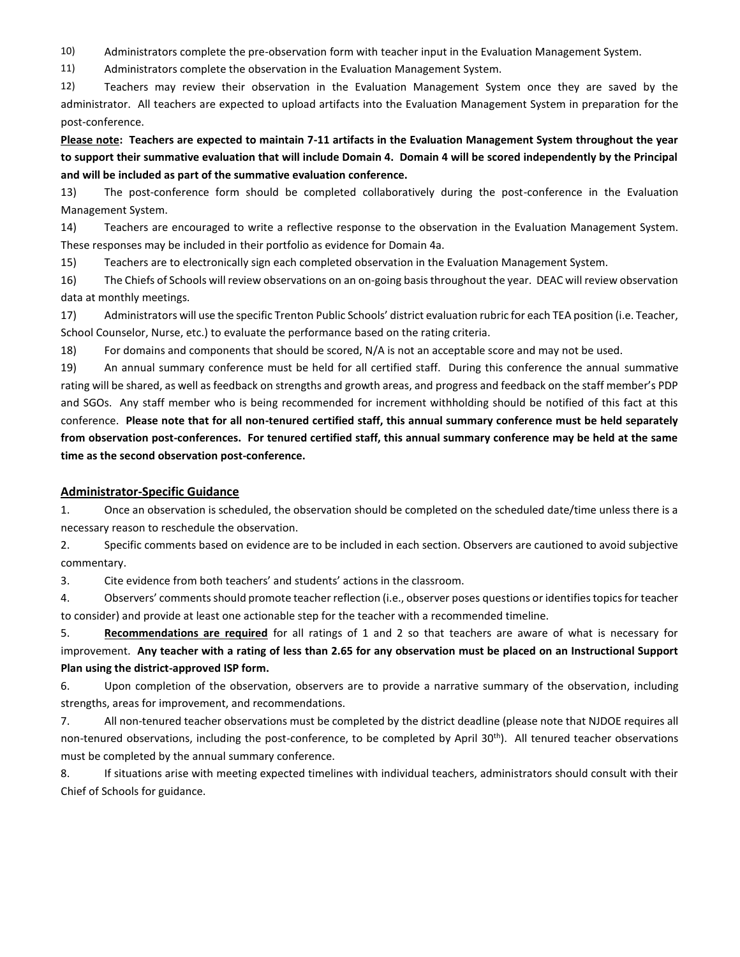10) Administrators complete the pre-observation form with teacher input in the Evaluation Management System.

11) Administrators complete the observation in the Evaluation Management System.

12) Teachers may review their observation in the Evaluation Management System once they are saved by the administrator. All teachers are expected to upload artifacts into the Evaluation Management System in preparation for the post-conference.

**Please note: Teachers are expected to maintain 7-11 artifacts in the Evaluation Management System throughout the year to support their summative evaluation that will include Domain 4. Domain 4 will be scored independently by the Principal and will be included as part of the summative evaluation conference.** 

13) The post-conference form should be completed collaboratively during the post-conference in the Evaluation Management System.

14) Teachers are encouraged to write a reflective response to the observation in the Evaluation Management System. These responses may be included in their portfolio as evidence for Domain 4a.

15) Teachers are to electronically sign each completed observation in the Evaluation Management System.

16) The Chiefs of Schools will review observations on an on-going basis throughout the year. DEAC will review observation data at monthly meetings.

17) Administrators will use the specific Trenton Public Schools' district evaluation rubric for each TEA position (i.e. Teacher, School Counselor, Nurse, etc.) to evaluate the performance based on the rating criteria.

18) For domains and components that should be scored, N/A is not an acceptable score and may not be used.

19) An annual summary conference must be held for all certified staff. During this conference the annual summative rating will be shared, as well as feedback on strengths and growth areas, and progress and feedback on the staff member's PDP and SGOs. Any staff member who is being recommended for increment withholding should be notified of this fact at this conference. **Please note that for all non-tenured certified staff, this annual summary conference must be held separately from observation post-conferences. For tenured certified staff, this annual summary conference may be held at the same time as the second observation post-conference.**

#### **Administrator-Specific Guidance**

1. Once an observation is scheduled, the observation should be completed on the scheduled date/time unless there is a necessary reason to reschedule the observation.

2. Specific comments based on evidence are to be included in each section. Observers are cautioned to avoid subjective commentary.

3. Cite evidence from both teachers' and students' actions in the classroom.

4. Observers' comments should promote teacher reflection (i.e., observer poses questions or identifies topics for teacher to consider) and provide at least one actionable step for the teacher with a recommended timeline.

5. **Recommendations are required** for all ratings of 1 and 2 so that teachers are aware of what is necessary for improvement. **Any teacher with a rating of less than 2.65 for any observation must be placed on an Instructional Support Plan using the district-approved ISP form.**

6. Upon completion of the observation, observers are to provide a narrative summary of the observation, including strengths, areas for improvement, and recommendations.

7. All non-tenured teacher observations must be completed by the district deadline (please note that NJDOE requires all non-tenured observations, including the post-conference, to be completed by April 30th). All tenured teacher observations must be completed by the annual summary conference.

8. If situations arise with meeting expected timelines with individual teachers, administrators should consult with their Chief of Schools for guidance.